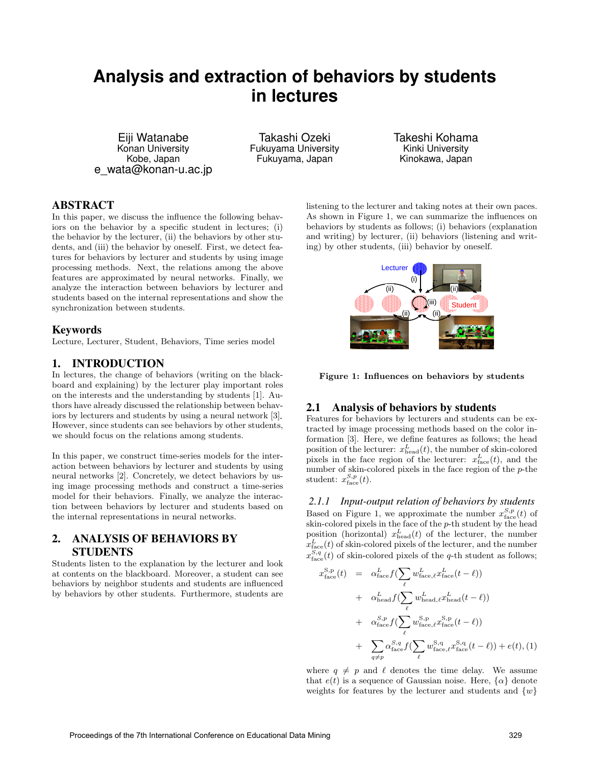# **Analysis and extraction of behaviors by students in lectures**

Eiji Watanabe Konan University Kobe, Japan e\_wata@konan-u.ac.jp

Takashi Ozeki Fukuyama University Fukuyama, Japan

Takeshi Kohama Kinki University Kinokawa, Japan

# ABSTRACT

In this paper, we discuss the influence the following behaviors on the behavior by a specific student in lectures; (i) the behavior by the lecturer, (ii) the behaviors by other students, and (iii) the behavior by oneself. First, we detect features for behaviors by lecturer and students by using image processing methods. Next, the relations among the above features are approximated by neural networks. Finally, we analyze the interaction between behaviors by lecturer and students based on the internal representations and show the synchronization between students.

### Keywords

Lecture, Lecturer, Student, Behaviors, Time series model

## 1. INTRODUCTION

In lectures, the change of behaviors (writing on the blackboard and explaining) by the lecturer play important roles on the interests and the understanding by students [1]. Authors have already discussed the relationship between behaviors by lecturers and students by using a neural network [3]. However, since students can see behaviors by other students, we should focus on the relations among students.

In this paper, we construct time-series models for the interaction between behaviors by lecturer and students by using neural networks [2]. Concretely, we detect behaviors by using image processing methods and construct a time-series model for their behaviors. Finally, we analyze the interaction between behaviors by lecturer and students based on the internal representations in neural networks.

# 2. ANALYSIS OF BEHAVIORS BY **STUDENTS**

Students listen to the explanation by the lecturer and look at contents on the blackboard. Moreover, a student can see behaviors by neighbor students and students are influenced by behaviors by other students. Furthermore, students are listening to the lecturer and taking notes at their own paces. As shown in Figure 1, we can summarize the influences on behaviors by students as follows; (i) behaviors (explanation and writing) by lecturer, (ii) behaviors (listening and writing) by other students, (iii) behavior by oneself.



**Figure 1: Influences on behaviors by students**

## 2.1 Analysis of behaviors by students

Features for behaviors by lecturers and students can be extracted by image processing methods based on the color information [3]. Here, we define features as follows; the head position of the lecturer:  $x_{\text{head}}^L(t)$ , the number of skin-colored pixels in the face region of the lecturer:  $x_{\text{face}}^L(t)$ , and the number of skin-colored pixels in the face region of the *p*-the student:  $x_{\text{face}}^{S,p}(t)$ .

#### *2.1.1 Input-output relation of behaviors by students*

Based on Figure 1, we approximate the number  $x_{\text{face}}^{S,p}(t)$  of skin-colored pixels in the face of the *p*-th student by the head position (horizontal)  $x_{\text{head}}^L(t)$  of the lecturer, the number  $x_{\text{face}}^L(t)$  of skin-colored pixels of the lecturer, and the number  $x_{\text{face}}^{S,q}(t)$  of skin-colored pixels of the *q*-th student as follows;

$$
x_{\text{face}}^{\text{S,p}}(t) = \alpha_{\text{face}}^{L} f\left(\sum_{\ell} w_{\text{face},\ell}^{L} x_{\text{face}}^{L}(t-\ell)\right)
$$
  
+  $\alpha_{\text{head}}^{L} f\left(\sum_{\ell} w_{\text{head},\ell}^{L} x_{\text{head}}^{L}(t-\ell)\right)$   
+  $\alpha_{\text{face}}^{S,p} f\left(\sum_{\ell} w_{\text{face},\ell}^{S,p} x_{\text{face}}^{S,p}(t-\ell)\right)$   
+  $\sum_{q \neq p} \alpha_{\text{face}}^{S,q} f\left(\sum_{\ell} w_{\text{face},\ell}^{S,q} x_{\text{face}}^{S,q}(t-\ell)\right) + e(t), (1)$ 

where  $q \neq p$  and  $\ell$  denotes the time delay. We assume that  $e(t)$  is a sequence of Gaussian noise. Here,  $\{\alpha\}$  denote weights for features by the lecturer and students and *{w}*